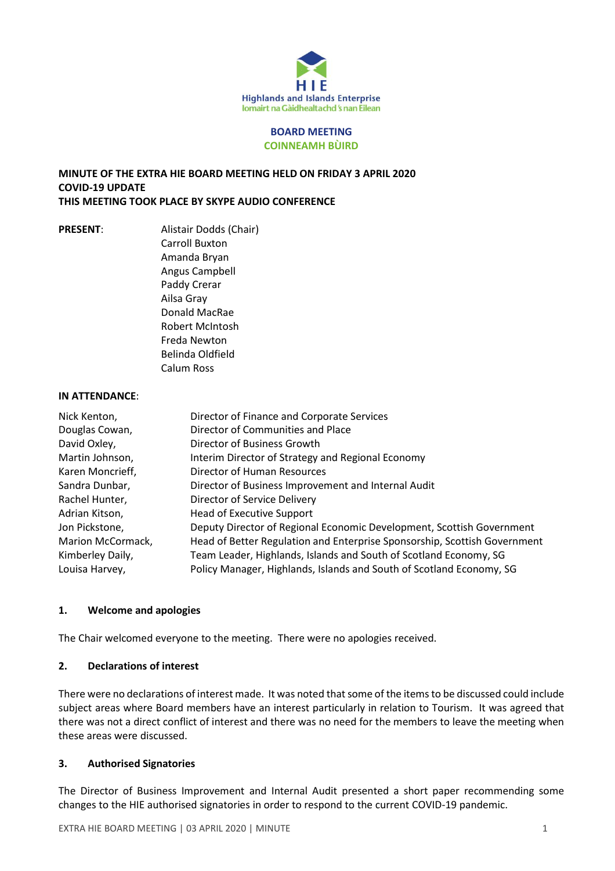

#### **BOARD MEETING COINNEAMH BÙIRD**

## **MINUTE OF THE EXTRA HIE BOARD MEETING HELD ON FRIDAY 3 APRIL 2020 COVID-19 UPDATE THIS MEETING TOOK PLACE BY SKYPE AUDIO CONFERENCE**

**PRESENT**: Alistair Dodds (Chair) Carroll Buxton Amanda Bryan Angus Campbell Paddy Crerar Ailsa Gray Donald MacRae Robert McIntosh Freda Newton Belinda Oldfield Calum Ross

#### **IN ATTENDANCE**:

| Nick Kenton,      | Director of Finance and Corporate Services                                |
|-------------------|---------------------------------------------------------------------------|
| Douglas Cowan,    | Director of Communities and Place                                         |
| David Oxley,      | Director of Business Growth                                               |
| Martin Johnson,   | Interim Director of Strategy and Regional Economy                         |
| Karen Moncrieff,  | Director of Human Resources                                               |
| Sandra Dunbar,    | Director of Business Improvement and Internal Audit                       |
| Rachel Hunter,    | Director of Service Delivery                                              |
| Adrian Kitson,    | <b>Head of Executive Support</b>                                          |
| Jon Pickstone,    | Deputy Director of Regional Economic Development, Scottish Government     |
| Marion McCormack, | Head of Better Regulation and Enterprise Sponsorship, Scottish Government |
| Kimberley Daily,  | Team Leader, Highlands, Islands and South of Scotland Economy, SG         |
| Louisa Harvey,    | Policy Manager, Highlands, Islands and South of Scotland Economy, SG      |

## **1. Welcome and apologies**

The Chair welcomed everyone to the meeting. There were no apologies received.

## **2. Declarations of interest**

There were no declarations of interest made. It was noted thatsome of the itemsto be discussed could include subject areas where Board members have an interest particularly in relation to Tourism. It was agreed that there was not a direct conflict of interest and there was no need for the members to leave the meeting when these areas were discussed.

## **3. Authorised Signatories**

The Director of Business Improvement and Internal Audit presented a short paper recommending some changes to the HIE authorised signatories in order to respond to the current COVID-19 pandemic.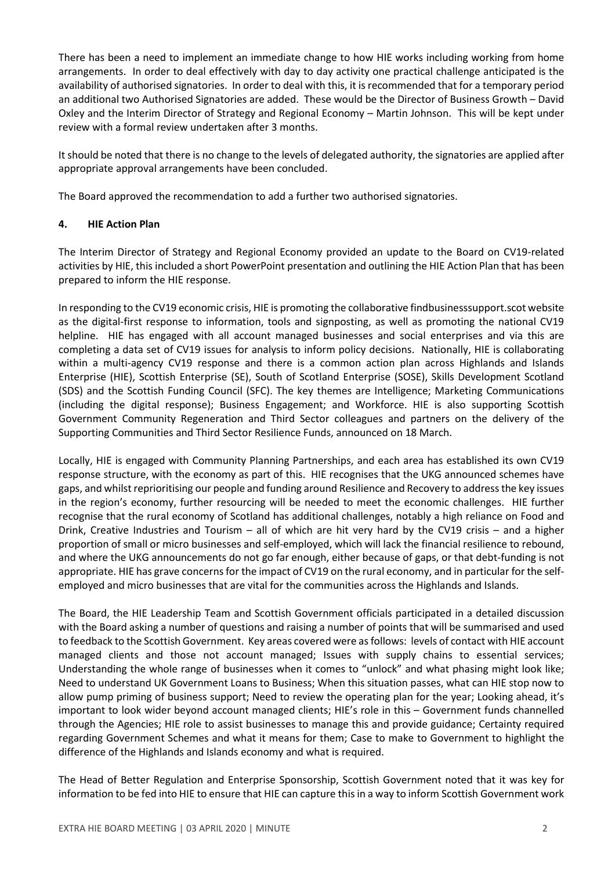There has been a need to implement an immediate change to how HIE works including working from home arrangements. In order to deal effectively with day to day activity one practical challenge anticipated is the availability of authorised signatories. In order to deal with this, it is recommended that for a temporary period an additional two Authorised Signatories are added. These would be the Director of Business Growth – David Oxley and the Interim Director of Strategy and Regional Economy – Martin Johnson. This will be kept under review with a formal review undertaken after 3 months.

It should be noted that there is no change to the levels of delegated authority, the signatories are applied after appropriate approval arrangements have been concluded.

The Board approved the recommendation to add a further two authorised signatories.

## **4. HIE Action Plan**

The Interim Director of Strategy and Regional Economy provided an update to the Board on CV19-related activities by HIE, this included a short PowerPoint presentation and outlining the HIE Action Plan that has been prepared to inform the HIE response.

In responding to the CV19 economic crisis, HIE is promoting the collaborative findbusinesssupport.scot website as the digital-first response to information, tools and signposting, as well as promoting the national CV19 helpline. HIE has engaged with all account managed businesses and social enterprises and via this are completing a data set of CV19 issues for analysis to inform policy decisions. Nationally, HIE is collaborating within a multi-agency CV19 response and there is a common action plan across Highlands and Islands Enterprise (HIE), Scottish Enterprise (SE), South of Scotland Enterprise (SOSE), Skills Development Scotland (SDS) and the Scottish Funding Council (SFC). The key themes are Intelligence; Marketing Communications (including the digital response); Business Engagement; and Workforce. HIE is also supporting Scottish Government Community Regeneration and Third Sector colleagues and partners on the delivery of the Supporting Communities and Third Sector Resilience Funds, announced on 18 March.

Locally, HIE is engaged with Community Planning Partnerships, and each area has established its own CV19 response structure, with the economy as part of this. HIE recognises that the UKG announced schemes have gaps, and whilst reprioritising our people and funding around Resilience and Recovery to addressthe key issues in the region's economy, further resourcing will be needed to meet the economic challenges. HIE further recognise that the rural economy of Scotland has additional challenges, notably a high reliance on Food and Drink, Creative Industries and Tourism – all of which are hit very hard by the CV19 crisis – and a higher proportion of small or micro businesses and self-employed, which will lack the financial resilience to rebound, and where the UKG announcements do not go far enough, either because of gaps, or that debt-funding is not appropriate. HIE has grave concernsfor the impact of CV19 on the rural economy, and in particular for the selfemployed and micro businesses that are vital for the communities across the Highlands and Islands.

The Board, the HIE Leadership Team and Scottish Government officials participated in a detailed discussion with the Board asking a number of questions and raising a number of points that will be summarised and used to feedback to the Scottish Government. Key areas covered were asfollows: levels of contact with HIE account managed clients and those not account managed; Issues with supply chains to essential services; Understanding the whole range of businesses when it comes to "unlock" and what phasing might look like; Need to understand UK Government Loans to Business; When this situation passes, what can HIE stop now to allow pump priming of business support; Need to review the operating plan for the year; Looking ahead, it's important to look wider beyond account managed clients; HIE's role in this – Government funds channelled through the Agencies; HIE role to assist businesses to manage this and provide guidance; Certainty required regarding Government Schemes and what it means for them; Case to make to Government to highlight the difference of the Highlands and Islands economy and what is required.

The Head of Better Regulation and Enterprise Sponsorship, Scottish Government noted that it was key for information to be fed into HIE to ensure that HIE can capture thisin a way to inform Scottish Government work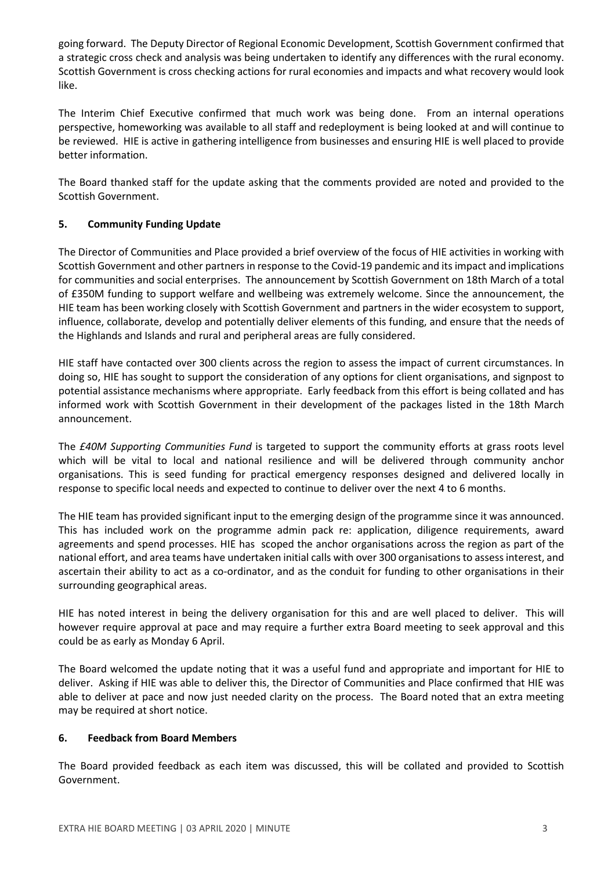going forward. The Deputy Director of Regional Economic Development, Scottish Government confirmed that a strategic cross check and analysis was being undertaken to identify any differences with the rural economy. Scottish Government is cross checking actions for rural economies and impacts and what recovery would look like.

The Interim Chief Executive confirmed that much work was being done. From an internal operations perspective, homeworking was available to all staff and redeployment is being looked at and will continue to be reviewed. HIE is active in gathering intelligence from businesses and ensuring HIE is well placed to provide better information.

The Board thanked staff for the update asking that the comments provided are noted and provided to the Scottish Government.

# **5. Community Funding Update**

The Director of Communities and Place provided a brief overview of the focus of HIE activities in working with Scottish Government and other partnersin response to the Covid-19 pandemic and its impact and implications for communities and social enterprises. The announcement by Scottish Government on 18th March of a total of £350M funding to support welfare and wellbeing was extremely welcome. Since the announcement, the HIE team has been working closely with Scottish Government and partners in the wider ecosystem to support, influence, collaborate, develop and potentially deliver elements of this funding, and ensure that the needs of the Highlands and Islands and rural and peripheral areas are fully considered.

HIE staff have contacted over 300 clients across the region to assess the impact of current circumstances. In doing so, HIE has sought to support the consideration of any options for client organisations, and signpost to potential assistance mechanisms where appropriate. Early feedback from this effort is being collated and has informed work with Scottish Government in their development of the packages listed in the 18th March announcement.

The *£40M Supporting Communities Fund* is targeted to support the community efforts at grass roots level which will be vital to local and national resilience and will be delivered through community anchor organisations. This is seed funding for practical emergency responses designed and delivered locally in response to specific local needs and expected to continue to deliver over the next 4 to 6 months.

The HIE team has provided significant input to the emerging design of the programme since it was announced. This has included work on the programme admin pack re: application, diligence requirements, award agreements and spend processes. HIE has scoped the anchor organisations across the region as part of the national effort, and area teams have undertaken initial calls with over 300 organisationsto assessinterest, and ascertain their ability to act as a co-ordinator, and as the conduit for funding to other organisations in their surrounding geographical areas.

HIE has noted interest in being the delivery organisation for this and are well placed to deliver. This will however require approval at pace and may require a further extra Board meeting to seek approval and this could be as early as Monday 6 April.

The Board welcomed the update noting that it was a useful fund and appropriate and important for HIE to deliver. Asking if HIE was able to deliver this, the Director of Communities and Place confirmed that HIE was able to deliver at pace and now just needed clarity on the process. The Board noted that an extra meeting may be required at short notice.

## **6. Feedback from Board Members**

The Board provided feedback as each item was discussed, this will be collated and provided to Scottish Government.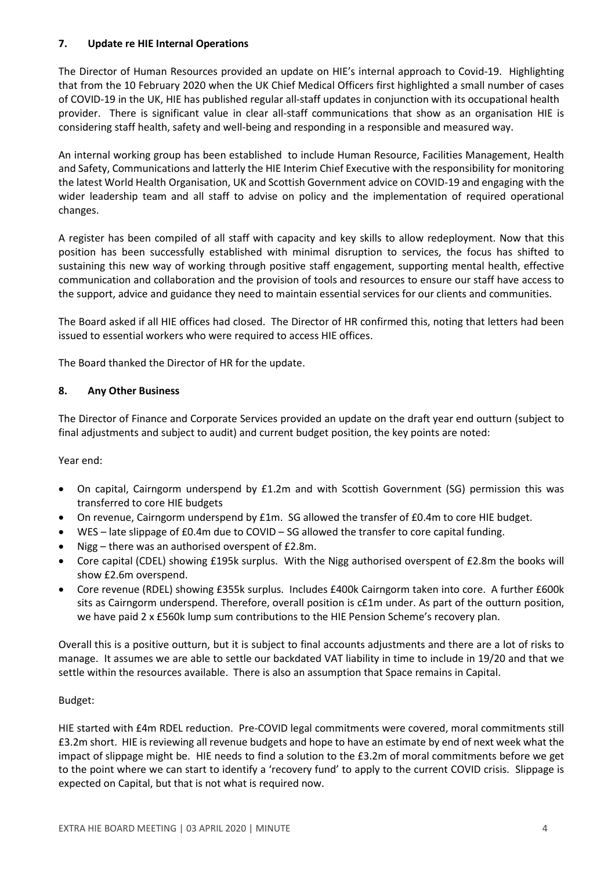## **7. Update re HIE Internal Operations**

The Director of Human Resources provided an update on HIE's internal approach to Covid-19. Highlighting that from the 10 February 2020 when the UK Chief Medical Officers first highlighted a small number of cases of COVID-19 in the UK, HIE has published regular all-staff updates in conjunction with its occupational health provider. There is significant value in clear all-staff communications that show as an organisation HIE is considering staff health, safety and well-being and responding in a responsible and measured way.

An internal working group has been established to include Human Resource, Facilities Management, Health and Safety, Communications and latterly the HIE Interim Chief Executive with the responsibility for monitoring the latest World Health Organisation, UK and Scottish Government advice on COVID-19 and engaging with the wider leadership team and all staff to advise on policy and the implementation of required operational changes.

A register has been compiled of all staff with capacity and key skills to allow redeployment. Now that this position has been successfully established with minimal disruption to services, the focus has shifted to sustaining this new way of working through positive staff engagement, supporting mental health, effective communication and collaboration and the provision of tools and resources to ensure our staff have access to the support, advice and guidance they need to maintain essential services for our clients and communities.

The Board asked if all HIE offices had closed. The Director of HR confirmed this, noting that letters had been issued to essential workers who were required to access HIE offices.

The Board thanked the Director of HR for the update.

## **8. Any Other Business**

The Director of Finance and Corporate Services provided an update on the draft year end outturn (subject to final adjustments and subject to audit) and current budget position, the key points are noted:

Year end:

- On capital, Cairngorm underspend by £1.2m and with Scottish Government (SG) permission this was transferred to core HIE budgets
- On revenue, Cairngorm underspend by £1m. SG allowed the transfer of £0.4m to core HIE budget.
- WES late slippage of £0.4m due to COVID SG allowed the transfer to core capital funding.
- Nigg there was an authorised overspent of £2.8m.
- Core capital (CDEL) showing £195k surplus. With the Nigg authorised overspent of £2.8m the books will show £2.6m overspend.
- Core revenue (RDEL) showing £355k surplus. Includes £400k Cairngorm taken into core. A further £600k sits as Cairngorm underspend. Therefore, overall position is c£1m under. As part of the outturn position, we have paid 2 x £560k lump sum contributions to the HIE Pension Scheme's recovery plan.

Overall this is a positive outturn, but it is subject to final accounts adjustments and there are a lot of risks to manage. It assumes we are able to settle our backdated VAT liability in time to include in 19/20 and that we settle within the resources available. There is also an assumption that Space remains in Capital.

## Budget:

HIE started with £4m RDEL reduction. Pre-COVID legal commitments were covered, moral commitments still £3.2m short. HIE is reviewing all revenue budgets and hope to have an estimate by end of next week what the impact of slippage might be. HIE needs to find a solution to the £3.2m of moral commitments before we get to the point where we can start to identify a 'recovery fund' to apply to the current COVID crisis. Slippage is expected on Capital, but that is not what is required now.